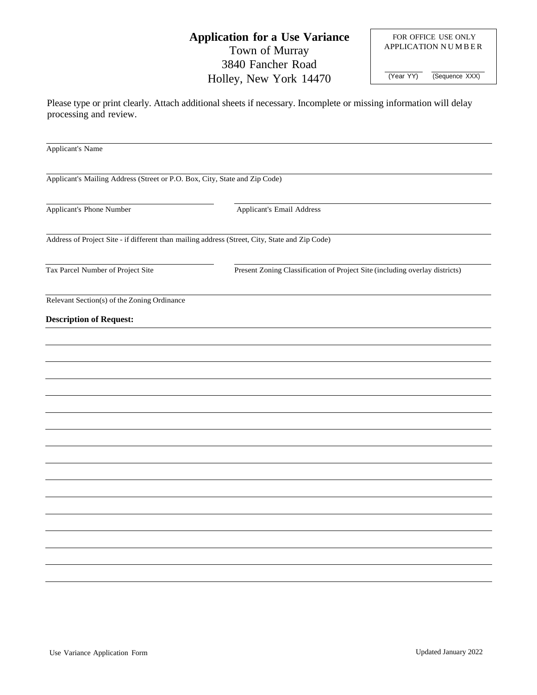# **Application for a Use Variance** Town of Murray 3840 Fancher Road Holley, New York 14470

FOR OFFICE USE ONLY APPLICATION N U M B E R

(Year YY) (Sequence XXX)

Please type or print clearly. Attach additional sheets if necessary. Incomplete or missing information will delay processing and review.

| Applicant's Name                                                                               |                                                                             |  |
|------------------------------------------------------------------------------------------------|-----------------------------------------------------------------------------|--|
| Applicant's Mailing Address (Street or P.O. Box, City, State and Zip Code)                     |                                                                             |  |
| Applicant's Phone Number                                                                       | Applicant's Email Address                                                   |  |
| Address of Project Site - if different than mailing address (Street, City, State and Zip Code) |                                                                             |  |
| Tax Parcel Number of Project Site                                                              | Present Zoning Classification of Project Site (including overlay districts) |  |
| Relevant Section(s) of the Zoning Ordinance                                                    |                                                                             |  |
| <b>Description of Request:</b>                                                                 |                                                                             |  |
|                                                                                                |                                                                             |  |
|                                                                                                |                                                                             |  |
|                                                                                                |                                                                             |  |
|                                                                                                |                                                                             |  |
|                                                                                                |                                                                             |  |
|                                                                                                |                                                                             |  |
|                                                                                                |                                                                             |  |
|                                                                                                |                                                                             |  |
|                                                                                                |                                                                             |  |
|                                                                                                |                                                                             |  |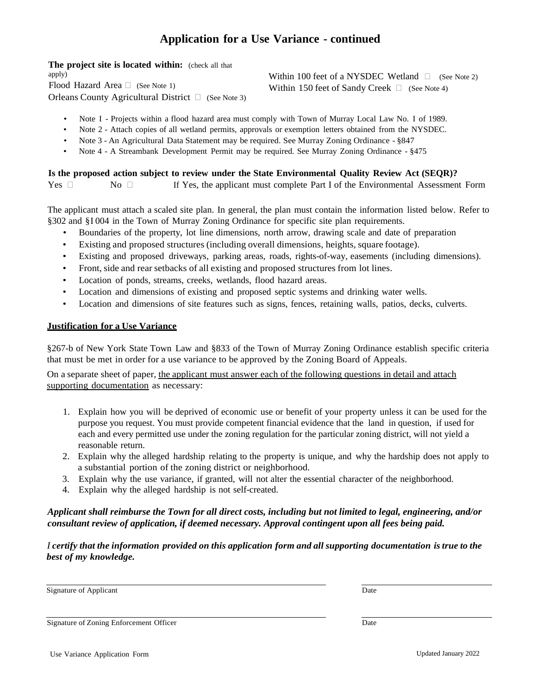## **Application for a Use Variance - continued**

**The project site is located within:** (check all that apply)

Flood Hazard Area  $\Box$  (See Note 1) Orleans County Agricultural District  $\Box$  (See Note 3) Within 100 feet of a NYSDEC Wetland  $\Box$  (See Note 2) Within 150 feet of Sandy Creek  $\Box$  (See Note 4)

- Note I Projects within a flood hazard area must comply with Town of Murray Local Law No. I of 1989.
- Note 2 Attach copies of all wetland permits, approvals or exemption letters obtained from the NYSDEC.
- Note 3 An Agricultural Data Statement may be required. See Murray Zoning Ordinance §847
- Note 4 A Streambank Development Permit may be required. See Murray Zoning Ordinance §475

**Is the proposed action subject to review under the State Environmental Quality Review Act (SEQR)?**

Yes  $\Box$  No  $\Box$  If Yes, the applicant must complete Part I of the Environmental Assessment Form

The applicant must attach a scaled site plan. In general, the plan must contain the information listed below. Refer to §302 and §I 004 in the Town of Murray Zoning Ordinance for specific site plan requirements.

- Boundaries of the property, lot line dimensions, north arrow, drawing scale and date of preparation
- Existing and proposed structures (including overall dimensions, heights, square footage).
- Existing and proposed driveways, parking areas, roads, rights-of-way, easements (including dimensions).
- Front, side and rear setbacks of all existing and proposed structures from lot lines.
- Location of ponds, streams, creeks, wetlands, flood hazard areas.
- Location and dimensions of existing and proposed septic systems and drinking water wells.
- Location and dimensions of site features such as signs, fences, retaining walls, patios, decks, culverts.

#### **Justification for a Use Variance**

§267-b of New York State Town Law and §833 of the Town of Murray Zoning Ordinance establish specific criteria that must be met in order for a use variance to be approved by the Zoning Board of Appeals.

On a separate sheet of paper, the applicant must answer each of the following questions in detail and attach supporting documentation as necessary:

- 1. Explain how you will be deprived of economic use or benefit of your property unless it can be used for the purpose you request. You must provide competent financial evidence that the land in question, if used for each and every permitted use under the zoning regulation for the particular zoning district, will not yield a reasonable return.
- 2. Explain why the alleged hardship relating to the property is unique, and why the hardship does not apply to a substantial portion of the zoning district or neighborhood.
- 3. Explain why the use variance, if granted, will not alter the essential character of the neighborhood.
- 4. Explain why the alleged hardship is not self-created.

### *Applicant shall reimburse the Town for all direct costs, including but not limited to legal, engineering, and/or consultant review of application, if deemed necessary. Approval contingent upon all fees being paid.*

I certify that the information provided on this application form and all supporting documentation is true to the *best of my knowledge.*

Signature of Applicant Date Date of Applicant Date of Applicant Date Date of Applicant Date of Applicant Date of Applicant Date of Applicant Date of Applicant Date of Applicant Date of Applicant Date of Applicant Date of A

Signature of Zoning Enforcement Officer Date and School and School and School and School and Date Date Date Date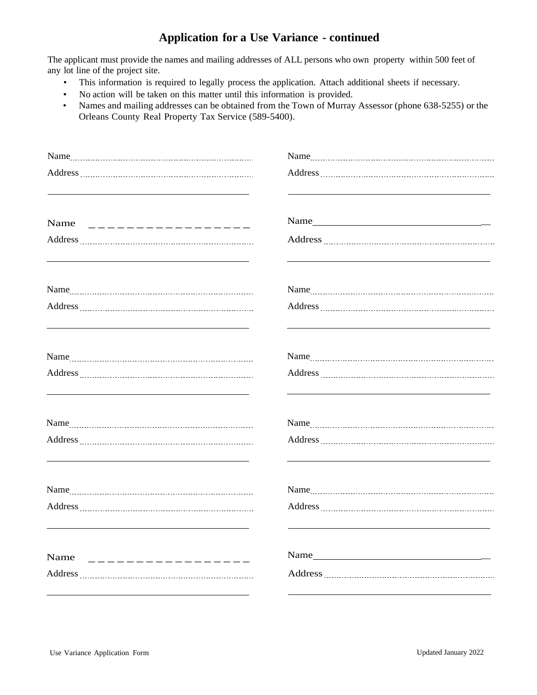## **Application for a Use Variance - continued**

The applicant must provide the names and mailing addresses of ALL persons who own property within 500 feet of any lot line of the project site.

- This information is required to legally process the application. Attach additional sheets if necessary.
- No action will be taken on this matter until this information is provided.
- Names and mailing addresses can be obtained from the Town of Murray Assessor (phone 638-5255) or the Orleans County Real Property Tax Service (589-5400).

| Name<br>__________________                                                                                                                                                                                                    |                                                                                                                       |
|-------------------------------------------------------------------------------------------------------------------------------------------------------------------------------------------------------------------------------|-----------------------------------------------------------------------------------------------------------------------|
|                                                                                                                                                                                                                               |                                                                                                                       |
|                                                                                                                                                                                                                               |                                                                                                                       |
|                                                                                                                                                                                                                               |                                                                                                                       |
|                                                                                                                                                                                                                               |                                                                                                                       |
| <u> 1989 - Johann Stein, marwolaethau a bhann an t-Amhair ann an t-Amhair an t-Amhair an t-Amhair an t-Amhair an</u>                                                                                                          |                                                                                                                       |
|                                                                                                                                                                                                                               |                                                                                                                       |
|                                                                                                                                                                                                                               |                                                                                                                       |
|                                                                                                                                                                                                                               |                                                                                                                       |
| the control of the control of the control of the control of the control of the control of the control of the control of the control of the control of the control of the control of the control of the control of the control | <u> 1989 - Johann Stein, marwolaethau a bhann an t-Amhain ann an t-Amhain an t-Amhain an t-Amhain an t-Amhain an </u> |
| Name<br>__________________                                                                                                                                                                                                    | Name                                                                                                                  |
|                                                                                                                                                                                                                               |                                                                                                                       |